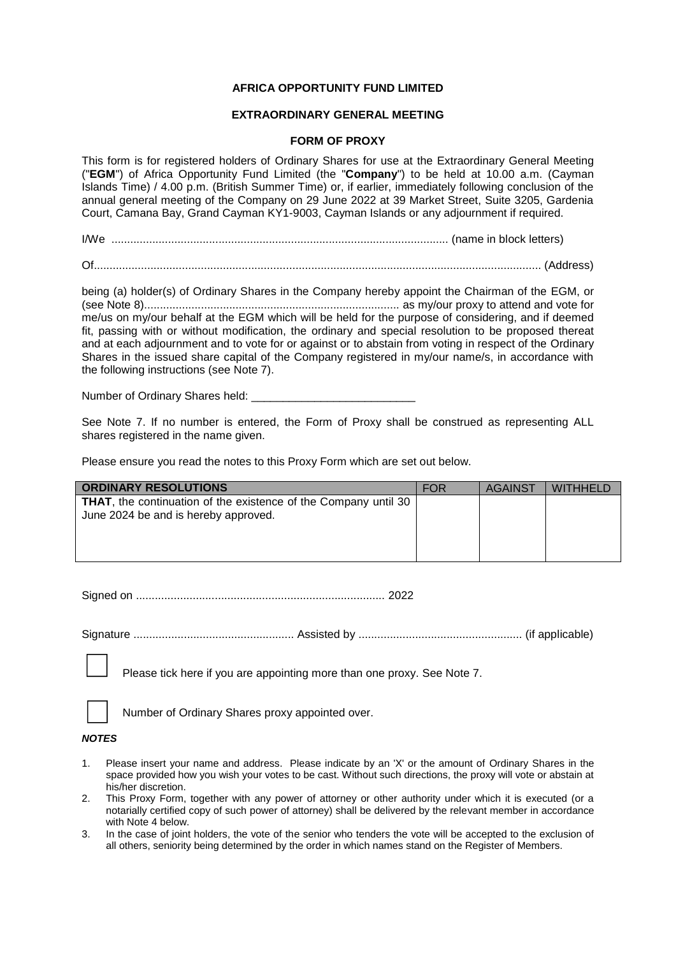# **AFRICA OPPORTUNITY FUND LIMITED**

## **EXTRAORDINARY GENERAL MEETING**

### **FORM OF PROXY**

This form is for registered holders of Ordinary Shares for use at the Extraordinary General Meeting ("**EGM**") of Africa Opportunity Fund Limited (the "**Company**") to be held at 10.00 a.m. (Cayman Islands Time) / 4.00 p.m. (British Summer Time) or, if earlier, immediately following conclusion of the annual general meeting of the Company on 29 June 2022 at 39 Market Street, Suite 3205, Gardenia Court, Camana Bay, Grand Cayman KY1-9003, Cayman Islands or any adjournment if required.

I/We ........................................................................................................... (name in block letters)

Of.............................................................................................................................................. (Address)

being (a) holder(s) of Ordinary Shares in the Company hereby appoint the Chairman of the EGM, or (see Note 8)................................................................................. as my/our proxy to attend and vote for me/us on my/our behalf at the EGM which will be held for the purpose of considering, and if deemed fit, passing with or without modification, the ordinary and special resolution to be proposed thereat and at each adjournment and to vote for or against or to abstain from voting in respect of the Ordinary Shares in the issued share capital of the Company registered in my/our name/s, in accordance with the following instructions (see Note 7).

Number of Ordinary Shares held:

See Note 7. If no number is entered, the Form of Proxy shall be construed as representing ALL shares registered in the name given.

Please ensure you read the notes to this Proxy Form which are set out below.

| <b>ORDINARY RESOLUTIONS</b>                                            | <b>FOR</b> | <b>AGAINST</b> | <b>WITHHELD</b> |
|------------------------------------------------------------------------|------------|----------------|-----------------|
| <b>THAT, the continuation of the existence of the Company until 30</b> |            |                |                 |
| June 2024 be and is hereby approved.                                   |            |                |                 |
|                                                                        |            |                |                 |
|                                                                        |            |                |                 |
|                                                                        |            |                |                 |

Signed on ............................................................................... 2022

Signature ................................................... Assisted by .................................................... (if applicable)

Please tick here if you are appointing more than one proxy. See Note 7.

Number of Ordinary Shares proxy appointed over.

#### *NOTES*

- 1. Please insert your name and address. Please indicate by an 'X' or the amount of Ordinary Shares in the space provided how you wish your votes to be cast. Without such directions, the proxy will vote or abstain at his/her discretion.
- 2. This Proxy Form, together with any power of attorney or other authority under which it is executed (or a notarially certified copy of such power of attorney) shall be delivered by the relevant member in accordance with Note 4 below.
- 3. In the case of joint holders, the vote of the senior who tenders the vote will be accepted to the exclusion of all others, seniority being determined by the order in which names stand on the Register of Members.